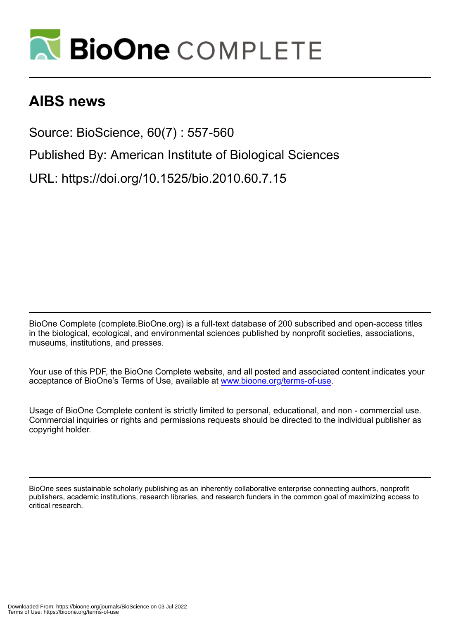

# **AIBS news**

Source: BioScience, 60(7) : 557-560

Published By: American Institute of Biological Sciences

URL: https://doi.org/10.1525/bio.2010.60.7.15

BioOne Complete (complete.BioOne.org) is a full-text database of 200 subscribed and open-access titles in the biological, ecological, and environmental sciences published by nonprofit societies, associations, museums, institutions, and presses.

Your use of this PDF, the BioOne Complete website, and all posted and associated content indicates your acceptance of BioOne's Terms of Use, available at www.bioone.org/terms-of-use.

Usage of BioOne Complete content is strictly limited to personal, educational, and non - commercial use. Commercial inquiries or rights and permissions requests should be directed to the individual publisher as copyright holder.

BioOne sees sustainable scholarly publishing as an inherently collaborative enterprise connecting authors, nonprofit publishers, academic institutions, research libraries, and research funders in the common goal of maximizing access to critical research.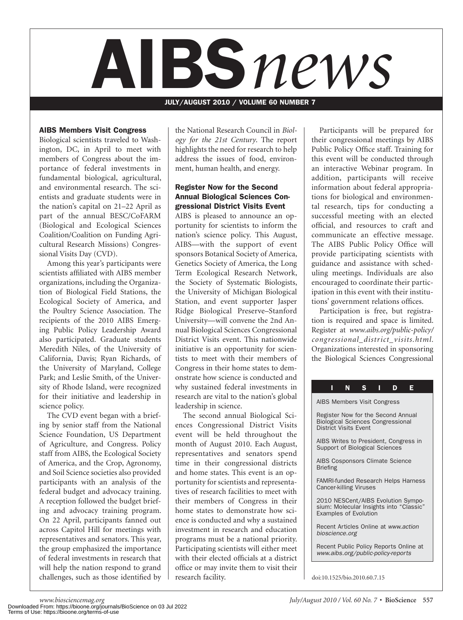

JULY/AUGUST 2010 / VOLUME 60 NUMBER 7

#### AIBS Members Visit Congress

Biological scientists traveled to Washington, DC, in April to meet with members of Congress about the importance of federal investments in fundamental biological, agricultural, and environmental research. The scientists and graduate students were in the nation's capital on 21–22 April as part of the annual BESC/CoFARM (Biological and Ecological Sciences Coalition/Coalition on Funding Agricultural Research Missions) Congressional Visits Day (CVD).

Among this year's participants were scientists affiliated with AIBS member organizations, including the Organization of Biological Field Stations, the Ecological Society of America, and the Poultry Science Association. The recipients of the 2010 AIBS Emerging Public Policy Leadership Award also participated. Graduate students Meredith Niles, of the University of California, Davis; Ryan Richards, of the University of Maryland, College Park; and Leslie Smith, of the University of Rhode Island, were recognized for their initiative and leadership in science policy.

The CVD event began with a briefing by senior staff from the National Science Foundation, US Department of Agriculture, and Congress. Policy staff from AIBS, the Ecological Society of America, and the Crop, Agronomy, and Soil Science societies also provided participants with an analysis of the federal budget and advocacy training. A reception followed the budget briefing and advocacy training program. On 22 April, participants fanned out across Capitol Hill for meetings with representatives and senators. This year, the group emphasized the importance of federal investments in research that will help the nation respond to grand challenges, such as those identified by research facility. doi:10.1525/bio.2010.60.7.15

the National Research Council in *Biology for the 21st Century*. The report highlights the need for research to help address the issues of food, environment, human health, and energy.

#### Register Now for the Second Annual Biological Sciences Congressional District Visits Event

AIBS is pleased to announce an opportunity for scientists to inform the nation's science policy. This August, AIBS—with the support of event sponsors Botanical Society of America, Genetics Society of America, the Long Term Ecological Research Network, the Society of Systematic Biologists, the University of Michigan Biological Station, and event supporter Jasper Ridge Biological Preserve–Stanford University—will convene the 2nd Annual Biological Sciences Congressional District Visits event. This nationwide initiative is an opportunity for scientists to meet with their members of Congress in their home states to demonstrate how science is conducted and why sustained federal investments in research are vital to the nation's global leadership in science.

The second annual Biological Sciences Congressional District Visits event will be held throughout the month of August 2010. Each August, representatives and senators spend time in their congressional districts and home states. This event is an opportunity for scientists and representatives of research facilities to meet with their members of Congress in their home states to demonstrate how science is conducted and why a sustained investment in research and education programs must be a national priority. Participating scientists will either meet with their elected officials at a district office or may invite them to visit their research facility.

Participants will be prepared for their congressional meetings by AIBS Public Policy Office staff. Training for this event will be conducted through an interactive Webinar program. In addition, participants will receive information about federal appropriations for biological and environmental research, tips for conducting a successful meeting with an elected official, and resources to craft and communicate an effective message. The AIBS Public Policy Office will provide participating scientists with guidance and assistance with scheduling meetings. Individuals are also encouraged to coordinate their participation in this event with their institutions' government relations offices.

Participation is free, but registration is required and space is limited. Register at *www.aibs.org/public-policy/ congressional\_district\_visits.html.*  Organizations interested in sponsoring the Biological Sciences Congressional

| N<br><b>S</b><br>П<br>Е<br>D                                                                                   |
|----------------------------------------------------------------------------------------------------------------|
| <b>AIBS Members Visit Congress</b>                                                                             |
| Register Now for the Second Annual<br><b>Biological Sciences Congressional</b><br><b>District Visits Event</b> |
| AIBS Writes to President, Congress in<br><b>Support of Biological Sciences</b>                                 |
| AIBS Cosponsors Climate Science<br><b>Briefing</b>                                                             |
| <b>FAMRI-funded Research Helps Harness</b><br><b>Cancer-killing Viruses</b>                                    |
| 2010 NESCent/AIBS Evolution Sympo-<br>sium: Molecular Insights into "Classic"<br><b>Examples of Evolution</b>  |
| Recent Articles Online at www.action<br>bioscience.org                                                         |
| Recent Public Policy Reports Online at<br>www.aibs.org/public-policy-reports                                   |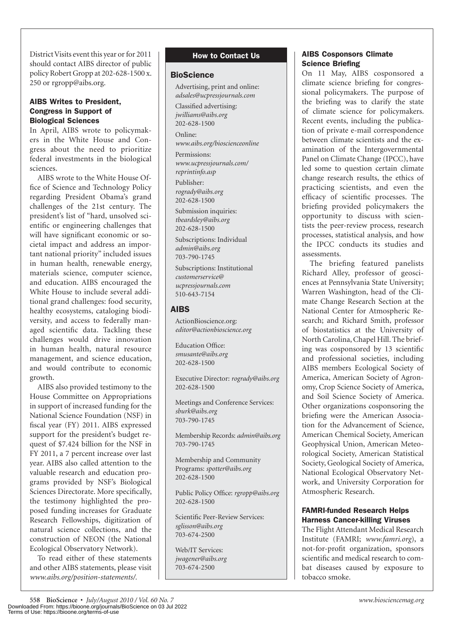District Visits event this year or for 2011 should contact AIBS director of public policy Robert Gropp at 202-628-1500 x. 250 or rgropp@aibs.org.

#### AIBS Writes to President, Congress in Support of Biological Sciences

In April, AIBS wrote to policymakers in the White House and Congress about the need to prioritize federal investments in the biological sciences.

AIBS wrote to the White House Office of Science and Technology Policy regarding President Obama's grand challenges of the 21st century. The president's list of "hard, unsolved scientific or engineering challenges that will have significant economic or societal impact and address an important national priority" included issues in human health, renewable energy, materials science, computer science, and education. AIBS encouraged the White House to include several additional grand challenges: food security, healthy ecosystems, cataloging biodiversity, and access to federally managed scientific data. Tackling these challenges would drive innovation in human health, natural resource management, and science education, and would contribute to economic growth.

AIBS also provided testimony to the House Committee on Appropriations in support of increased funding for the National Science Foundation (NSF) in fiscal year (FY) 2011. AIBS expressed support for the president's budget request of \$7.424 billion for the NSF in FY 2011, a 7 percent increase over last year. AIBS also called attention to the valuable research and education programs provided by NSF's Biological Sciences Directorate. More specifically, the testimony highlighted the proposed funding increases for Graduate Research Fellowships, digitization of natural science collections, and the construction of NEON (the National Ecological Observatory Network).

To read either of these statements and other AIBS statements, please visit *www.aibs.org/position-statements/.*

### How to Contact Us

#### **BioScience**

Advertising, print and online: *adsales@ucpressjournals.com*

Classified advertising: *jwilliams@aibs.org* 202-628-1500

Online: *www.aibs.org/bioscienceonline*

Permissions: *www.ucpressjournals.com/ reprintinfo.asp*

Publisher: *rogrady@aibs.org* 202-628-1500

Submission inquiries: *tbeardsley@aibs.org* 202-628-1500

Subscriptions: Individual *admin@aibs.org* 703-790-1745

Subscriptions: Institutional *customerservice@ ucpressjournals.com* 510-643-7154

## AIBS

ActionBioscience.org: *editor@actionbioscience.org*

Education Office: *smusante@aibs.org* 202-628-1500

Executive Director: *rogrady@aibs.org* 202-628-1500

Meetings and Conference Services: *sburk@aibs.org* 703-790-1745

Membership Records: *admin@aibs.org* 703-790-1745

Membership and Community Programs: *spotter@aibs.org* 202-628-1500

Public Policy Office: *rgropp@aibs.org* 202-628-1500

Scientific Peer-Review Services: *sglisson@aibs.org* 703-674-2500

Web/IT Services: *jwagener@aibs.org* 703-674-2500

### AIBS Cosponsors Climate Science Briefing

On 11 May, AIBS cosponsored a climate science briefing for congressional policymakers. The purpose of the briefing was to clarify the state of climate science for policymakers. Recent events, including the publication of private e-mail correspondence between climate scientists and the examination of the Intergovernmental Panel on Climate Change (IPCC), have led some to question certain climate change research results, the ethics of practicing scientists, and even the efficacy of scientific processes. The briefing provided policymakers the opportunity to discuss with scientists the peer-review process, research processes, statistical analysis, and how the IPCC conducts its studies and assessments.

The briefing featured panelists Richard Alley, professor of geosciences at Pennsylvania State University; Warren Washington, head of the Climate Change Research Section at the National Center for Atmospheric Research; and Richard Smith, professor of biostatistics at the University of North Carolina, Chapel Hill. The briefing was cosponsored by 13 scientific and professional societies, including AIBS members Ecological Society of America, American Society of Agronomy, Crop Science Society of America, and Soil Science Society of America. Other organizations cosponsoring the briefing were the American Association for the Advancement of Science, American Chemical Society, American Geophysical Union, American Meteorological Society, American Statistical Society, Geological Society of America, National Ecological Observatory Network, and University Corporation for Atmospheric Research.

#### FAMRI-funded Research Helps Harness Cancer-killing Viruses

The Flight Attendant Medical Research Institute (FAMRI; *www.famri.org*), a not-for-profit organization, sponsors scientific and medical research to combat diseases caused by exposure to tobacco smoke.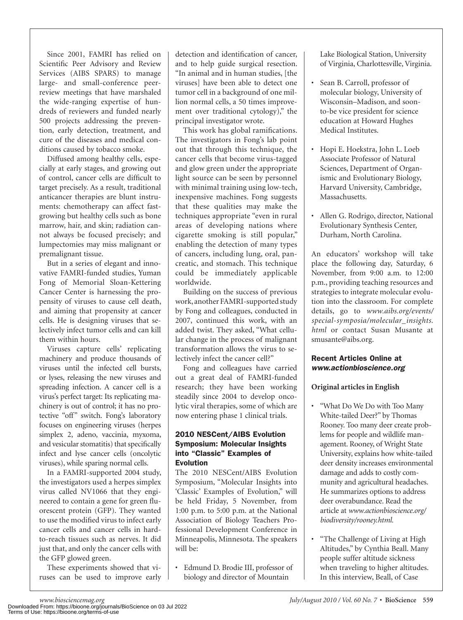Since 2001, FAMRI has relied on Scientific Peer Advisory and Review Services (AIBS SPARS) to manage large- and small-conference peerreview meetings that have marshaled the wide-ranging expertise of hundreds of reviewers and funded nearly 500 projects addressing the prevention, early detection, treatment, and cure of the diseases and medical conditions caused by tobacco smoke.

Diffused among healthy cells, especially at early stages, and growing out of control, cancer cells are difficult to target precisely. As a result, traditional anticancer therapies are blunt instruments: chemotherapy can affect fastgrowing but healthy cells such as bone marrow, hair, and skin; radiation cannot always be focused precisely; and lumpectomies may miss malignant or premalignant tissue.

But in a series of elegant and innovative FAMRI-funded studies, Yuman Fong of Memorial Sloan-Kettering Cancer Center is harnessing the propensity of viruses to cause cell death, and aiming that propensity at cancer cells. He is designing viruses that selectively infect tumor cells and can kill them within hours.

Viruses capture cells' replicating machinery and produce thousands of viruses until the infected cell bursts, or lyses, releasing the new viruses and spreading infection. A cancer cell is a virus's perfect target: Its replicating machinery is out of control; it has no protective "off" switch. Fong's laboratory focuses on engineering viruses (herpes simplex 2, adeno, vaccinia, myxoma, and vesicular stomatitis) that specifically infect and lyse cancer cells (oncolytic viruses), while sparing normal cells.

In a FAMRI-supported 2004 study, the investigators used a herpes simplex virus called NV1066 that they engineered to contain a gene for green fluorescent protein (GFP). They wanted to use the modified virus to infect early cancer cells and cancer cells in hardto-reach tissues such as nerves. It did just that, and only the cancer cells with the GFP glowed green.

These experiments showed that viruses can be used to improve early

detection and identification of cancer, and to help guide surgical resection. "In animal and in human studies, [the viruses] have been able to detect one tumor cell in a background of one million normal cells, a 50 times improvement over traditional cytology)," the principal investigator wrote.

This work has global ramifications. The investigators in Fong's lab point out that through this technique, the cancer cells that become virus-tagged and glow green under the appropriate light source can be seen by personnel with minimal training using low-tech, inexpensive machines. Fong suggests that these qualities may make the techniques appropriate "even in rural areas of developing nations where cigarette smoking is still popular," enabling the detection of many types of cancers, including lung, oral, pancreatic, and stomach. This technique could be immediately applicable worldwide.

Building on the success of previous work, another FAMRI-supported study by Fong and colleagues, conducted in 2007, continued this work, with an added twist. They asked, "What cellular change in the process of malignant transformation allows the virus to selectively infect the cancer cell?"

Fong and colleagues have carried out a great deal of FAMRI-funded research; they have been working steadily since 2004 to develop oncolytic viral therapies, some of which are now entering phase 1 clinical trials.

#### 2010 NESCent/AIBS Evolution Symposium: Molecular Insights into "Classic" Examples of Evolution

The 2010 NESCent/AIBS Evolution Symposium, "Molecular Insights into 'Classic' Examples of Evolution," will be held Friday, 5 November, from 1:00 p.m. to 5:00 p.m. at the National Association of Biology Teachers Professional Development Conference in Minneapolis, Minnesota. The speakers will be:

• Edmund D. Brodie III, professor of biology and director of Mountain

Lake Biological Station, University of Virginia, Charlottesville, Virginia.

- Sean B. Carroll, professor of molecular biology, University of Wisconsin–Madison, and soonto-be vice president for science education at Howard Hughes Medical Institutes.
- Hopi E. Hoekstra, John L. Loeb Associate Professor of Natural Sciences, Department of Organismic and Evolutionary Biology, Harvard University, Cambridge, Massachusetts.
- Allen G. Rodrigo, director, National Evolutionary Synthesis Center, Durham, North Carolina.

An educators' workshop will take place the following day, Saturday, 6 November, from 9:00 a.m. to 12:00 p.m., providing teaching resources and strategies to integrate molecular evolution into the classroom. For complete details, go to *www.aibs.org/events/ special-symposia/molecular\_insights. html* or contact Susan Musante at smusante@aibs.org.

## Recent Articles Online at www.actionbioscience.org

## **Original articles in English**

- "What Do We Do with Too Many White-tailed Deer?" by Thomas Rooney. Too many deer create problems for people and wildlife management. Rooney, of Wright State University, explains how white-tailed deer density increases environmental damage and adds to costly community and agricultural headaches. He summarizes options to address deer overabundance. Read the article at *www.actionbioscience.org/ biodiversity/rooney.html.*
- "The Challenge of Living at High Altitudes," by Cynthia Beall. Many people suffer altitude sickness when traveling to higher altitudes. In this interview, Beall, of Case